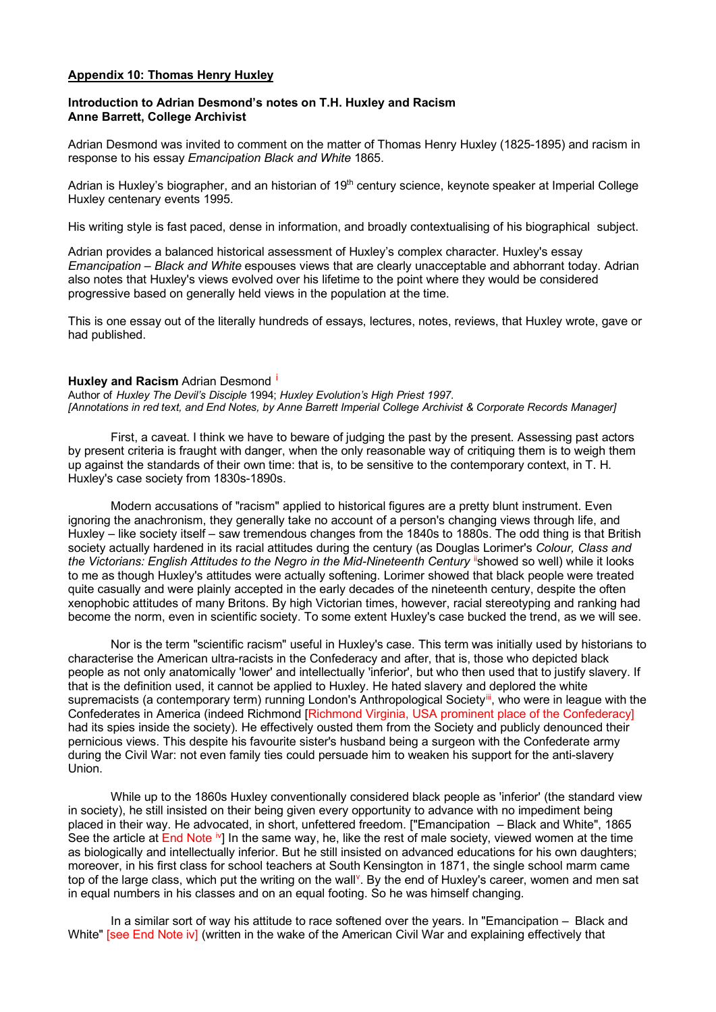## **Appendix 10: Thomas Henry Huxley**

## **Introduction to Adrian Desmond's notes on T.H. Huxley and Racism Anne Barrett, College Archivist**

Adrian Desmond was invited to comment on the matter of Thomas Henry Huxley (1825-1895) and racism in response to his essay *Emancipation Black and White* 1865.

Adrian is Huxley's biographer, and an historian of 19<sup>th</sup> century science, keynote speaker at Imperial College Huxley centenary events 1995.

His writing style is fast paced, dense in information, and broadly contextualising of his biographical subject.

Adrian provides a balanced historical assessment of Huxley's complex character. Huxley's essay *Emancipation – Black and White* espouses views that are clearly unacceptable and abhorrant today. Adrian also notes that Huxley's views evolved over his lifetime to the point where they would be considered progressive based on generally held views in the population at the time.

This is one essay out of the literally hundreds of essays, lectures, notes, reviews, that Huxley wrote, gave or had published.

## **Huxley and Rac[i](#page-2-0)sm** Adrian Desmond <sup>i</sup>

Author of *Huxley The Devil's Disciple* 1994; *Huxley Evolution's High Priest 1997. [Annotations in red text, and End Notes, by Anne Barrett Imperial College Archivist & Corporate Records Manager]*

First, a caveat. I think we have to beware of judging the past by the present. Assessing past actors by present criteria is fraught with danger, when the only reasonable way of critiquing them is to weigh them up against the standards of their own time: that is, to be sensitive to the contemporary context, in T. H. Huxley's case society from 1830s-1890s.

Modern accusations of "racism" applied to historical figures are a pretty blunt instrument. Even ignoring the anachronism, they generally take no account of a person's changing views through life, and Huxley – like society itself – saw tremendous changes from the 1840s to 1880s. The odd thing is that British society actually hardened in its racial attitudes during the century (as Douglas Lorimer's *Colour, Class and the Victorians: English Attitudes to the Negro in the Mid-Nineteenth Century* "showed so well) while it looks to me as though Huxley's attitudes were actually softening. Lorimer showed that black people were treated quite casually and were plainly accepted in the early decades of the nineteenth century, despite the often xenophobic attitudes of many Britons. By high Victorian times, however, racial stereotyping and ranking had become the norm, even in scientific society. To some extent Huxley's case bucked the trend, as we will see.

Nor is the term "scientific racism" useful in Huxley's case. This term was initially used by historians to characterise the American ultra-racists in the Confederacy and after, that is, those who depicted black people as not only anatomically 'lower' and intellectually 'inferior', but who then used that to justify slavery. If that is the definition used, it cannot be applied to Huxley. He hated slavery and deplored the white supremacists (a contemporary term) running London's Anthropological Society<sup>ii</sup>, who were in league with the Confederates in America (indeed Richmond [Richmond Virginia, USA prominent place of the Confederacy] had its spies inside the society). He effectively ousted them from the Society and publicly denounced their pernicious views. This despite his favourite sister's husband being a surgeon with the Confederate army during the Civil War: not even family ties could persuade him to weaken his support for the anti-slavery Union.

While up to the 1860s Huxley conventionally considered black people as 'inferior' (the standard view in society), he still insisted on their being given every opportunity to advance with no impediment being placed in their way. He advocated, in short, unfettered freedom. ["Emancipation – Black and White", 1865 See the article at End Note <sup>[iv](#page-2-3)</sup>] In the same way, he, like the rest of male society, viewed women at the time as biologically and intellectually inferior. But he still insisted on advanced educations for his own daughters; moreover, in his first class for school teachers at South Kensington in 1871, the single school marm came top of the large class, which put the writing on the wall<sup>[v](#page-3-0)</sup>. By the end of Huxley's career, women and men sat in equal numbers in his classes and on an equal footing. So he was himself changing.

In a similar sort of way his attitude to race softened over the years. In "Emancipation – Black and White" [see End Note iv] (written in the wake of the American Civil War and explaining effectively that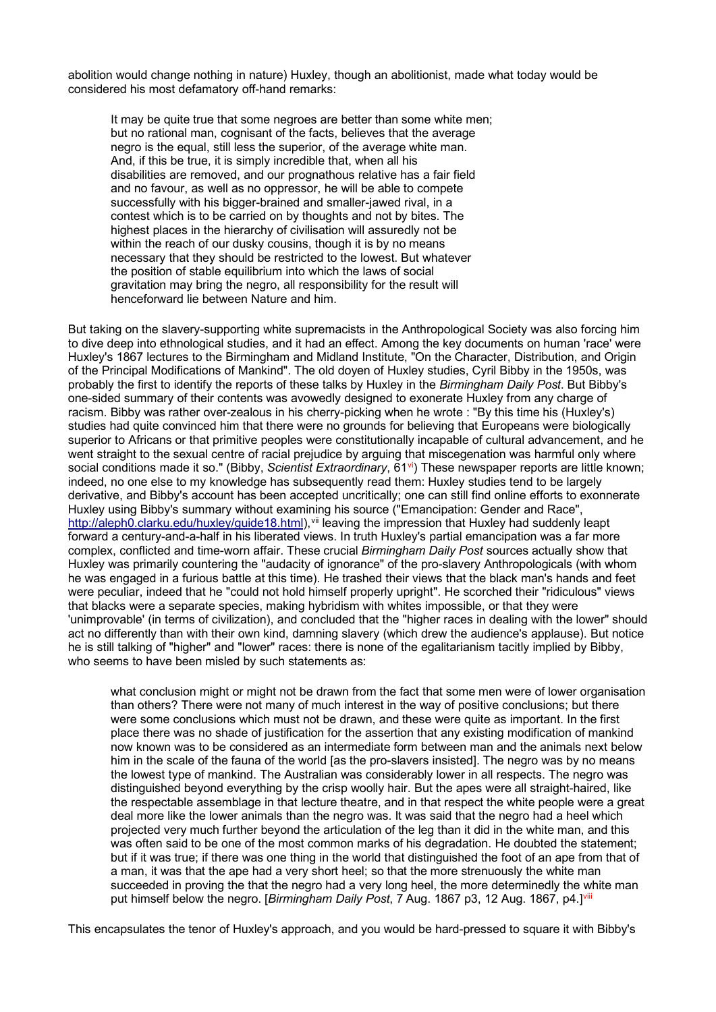abolition would change nothing in nature) Huxley, though an abolitionist, made what today would be considered his most defamatory off-hand remarks:

It may be quite true that some negroes are better than some white men; but no rational man, cognisant of the facts, believes that the average negro is the equal, still less the superior, of the average white man. And, if this be true, it is simply incredible that, when all his disabilities are removed, and our prognathous relative has a fair field and no favour, as well as no oppressor, he will be able to compete successfully with his bigger-brained and smaller-jawed rival, in a contest which is to be carried on by thoughts and not by bites. The highest places in the hierarchy of civilisation will assuredly not be within the reach of our dusky cousins, though it is by no means necessary that they should be restricted to the lowest. But whatever the position of stable equilibrium into which the laws of social gravitation may bring the negro, all responsibility for the result will henceforward lie between Nature and him.

But taking on the slavery-supporting white supremacists in the Anthropological Society was also forcing him to dive deep into ethnological studies, and it had an effect. Among the key documents on human 'race' were Huxley's 1867 lectures to the Birmingham and Midland Institute, "On the Character, Distribution, and Origin of the Principal Modifications of Mankind". The old doyen of Huxley studies, Cyril Bibby in the 1950s, was probably the first to identify the reports of these talks by Huxley in the *Birmingham Daily Post*. But Bibby's one-sided summary of their contents was avowedly designed to exonerate Huxley from any charge of racism. Bibby was rather over-zealous in his cherry-picking when he wrote : "By this time his (Huxley's) studies had quite convinced him that there were no grounds for believing that Europeans were biologically superior to Africans or that primitive peoples were constitutionally incapable of cultural advancement, and he went straight to the sexual centre of racial prejudice by arguing that miscegenation was harmful only where social conditions made it so." (Bibby, *Scientist Extraordinary*, 61[vi\)](#page-3-1) These newspaper reports are little known; indeed, no one else to my knowledge has subsequently read them: Huxley studies tend to be largely derivative, and Bibby's account has been accepted uncritically; one can still find online efforts to exonnerate Huxley using Bibby's summary without examining his source ("Emancipation: Gender and Race", [http://aleph0.clarku.edu/huxley/guide18.html\)](http://aleph0.clarku.edu/huxley/guide18.html),<sup>[vii](#page-3-2)</sup> leaving the impression that Huxley had suddenly leapt forward a century-and-a-half in his liberated views. In truth Huxley's partial emancipation was a far more complex, conflicted and time-worn affair. These crucial *Birmingham Daily Post* sources actually show that Huxley was primarily countering the "audacity of ignorance" of the pro-slavery Anthropologicals (with whom he was engaged in a furious battle at this time). He trashed their views that the black man's hands and feet were peculiar, indeed that he "could not hold himself properly upright". He scorched their "ridiculous" views that blacks were a separate species, making hybridism with whites impossible, or that they were 'unimprovable' (in terms of civilization), and concluded that the "higher races in dealing with the lower" should act no differently than with their own kind, damning slavery (which drew the audience's applause). But notice he is still talking of "higher" and "lower" races: there is none of the egalitarianism tacitly implied by Bibby, who seems to have been misled by such statements as:

what conclusion might or might not be drawn from the fact that some men were of lower organisation than others? There were not many of much interest in the way of positive conclusions; but there were some conclusions which must not be drawn, and these were quite as important. In the first place there was no shade of justification for the assertion that any existing modification of mankind now known was to be considered as an intermediate form between man and the animals next below him in the scale of the fauna of the world [as the pro-slavers insisted]. The negro was by no means the lowest type of mankind. The Australian was considerably lower in all respects. The negro was distinguished beyond everything by the crisp woolly hair. But the apes were all straight-haired, like the respectable assemblage in that lecture theatre, and in that respect the white people were a great deal more like the lower animals than the negro was. It was said that the negro had a heel which projected very much further beyond the articulation of the leg than it did in the white man, and this was often said to be one of the most common marks of his degradation. He doubted the statement; but if it was true; if there was one thing in the world that distinguished the foot of an ape from that of a man, it was that the ape had a very short heel; so that the more strenuously the white man succeeded in proving the that the negro had a very long heel, the more determinedly the white man put himself below the negro. [*Birmingham Daily Post*, 7 Aug. 1867 p3, 12 Aug. 1867, p4.]<sup>[viii](#page-3-3)</sup>

This encapsulates the tenor of Huxley's approach, and you would be hard-pressed to square it with Bibby's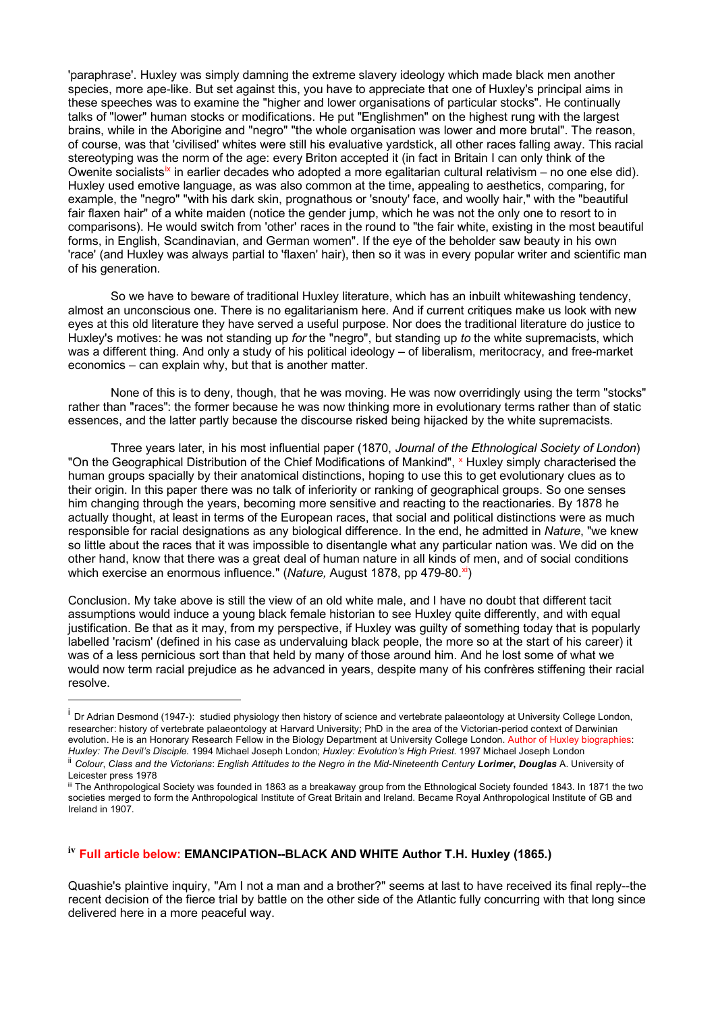'paraphrase'. Huxley was simply damning the extreme slavery ideology which made black men another species, more ape-like. But set against this, you have to appreciate that one of Huxley's principal aims in these speeches was to examine the "higher and lower organisations of particular stocks". He continually talks of "lower" human stocks or modifications. He put "Englishmen" on the highest rung with the largest brains, while in the Aborigine and "negro" "the whole organisation was lower and more brutal". The reason, of course, was that 'civilised' whites were still his evaluative yardstick, all other races falling away. This racial stereotyping was the norm of the age: every Briton accepted it (in fact in Britain I can only think of the Owenite socialists<sup>[ix](#page-3-4)</sup> in earlier decades who adopted a more egalitarian cultural relativism – no one else did). Huxley used emotive language, as was also common at the time, appealing to aesthetics, comparing, for example, the "negro" "with his dark skin, prognathous or 'snouty' face, and woolly hair," with the "beautiful fair flaxen hair" of a white maiden (notice the gender jump, which he was not the only one to resort to in comparisons). He would switch from 'other' races in the round to "the fair white, existing in the most beautiful forms, in English, Scandinavian, and German women". If the eye of the beholder saw beauty in his own 'race' (and Huxley was always partial to 'flaxen' hair), then so it was in every popular writer and scientific man of his generation.

So we have to beware of traditional Huxley literature, which has an inbuilt whitewashing tendency, almost an unconscious one. There is no egalitarianism here. And if current critiques make us look with new eyes at this old literature they have served a useful purpose. Nor does the traditional literature do justice to Huxley's motives: he was not standing up *for* the "negro", but standing up *to* the white supremacists, which was a different thing. And only a study of his political ideology – of liberalism, meritocracy, and free-market economics – can explain why, but that is another matter.

None of this is to deny, though, that he was moving. He was now overridingly using the term "stocks" rather than "races": the former because he was now thinking more in evolutionary terms rather than of static essences, and the latter partly because the discourse risked being hijacked by the white supremacists.

Three years later, in his most influential paper (1870, *Journal of the Ethnological Society of London*) "On the Geographical Distribution of the Chief Modifications of Mankind", <sup>[x](#page-3-5)</sup> Huxley simply characterised the human groups spacially by their anatomical distinctions, hoping to use this to get evolutionary clues as to their origin. In this paper there was no talk of inferiority or ranking of geographical groups. So one senses him changing through the years, becoming more sensitive and reacting to the reactionaries. By 1878 he actually thought, at least in terms of the European races, that social and political distinctions were as much responsible for racial designations as any biological difference. In the end, he admitted in *Nature*, "we knew so little about the races that it was impossible to disentangle what any particular nation was. We did on the other hand, know that there was a great deal of human nature in all kinds of men, and of social conditions which exercise an enormous influence." (*Nature, August 1878, pp 479-80.[xi](#page-3-6)*)

Conclusion. My take above is still the view of an old white male, and I have no doubt that different tacit assumptions would induce a young black female historian to see Huxley quite differently, and with equal justification. Be that as it may, from my perspective, if Huxley was guilty of something today that is popularly labelled 'racism' (defined in his case as undervaluing black people, the more so at the start of his career) it was of a less pernicious sort than that held by many of those around him. And he lost some of what we would now term racial prejudice as he advanced in years, despite many of his confrères stiffening their racial resolve.

## <span id="page-2-3"></span>**iv Full article below: EMANCIPATION--BLACK AND WHITE Author T.H. Huxley (1865.)**

Quashie's plaintive inquiry, "Am I not a man and a brother?" seems at last to have received its final reply--the recent decision of the fierce trial by battle on the other side of the Atlantic fully concurring with that long since delivered here in a more peaceful way.

<span id="page-2-0"></span><sup>&</sup>lt;sup>i</sup> Dr Adrian Desmond (1947-): studied physiology then history of science and vertebrate palaeontology at University College London, researcher: history of vertebrate palaeontology at Harvard University; PhD in the area of the Victorian-period context of Darwinian evolution. He is an Honorary Research Fellow in the Biology Department at University College London. Author of Huxley biographies: *Huxley: The Devil's Disciple.* 1994 Michael Joseph London; *Huxley: Evolution's High Priest*. 1997 Michael Joseph London

<span id="page-2-1"></span>ii *Colour*, *Class and the Victorians*: *English Attitudes to the Negro in the Mid*-*Nineteenth Century Lorimer***,** *Douglas* A. University of Leicester press 1978

<span id="page-2-2"></span>iii The Anthropological Society was founded in 1863 as a breakaway group from the Ethnological Society founded 1843. In 1871 the two societies merged to form the Anthropological Institute of Great Britain and Ireland. Became Royal Anthropological Institute of GB and Ireland in 1907.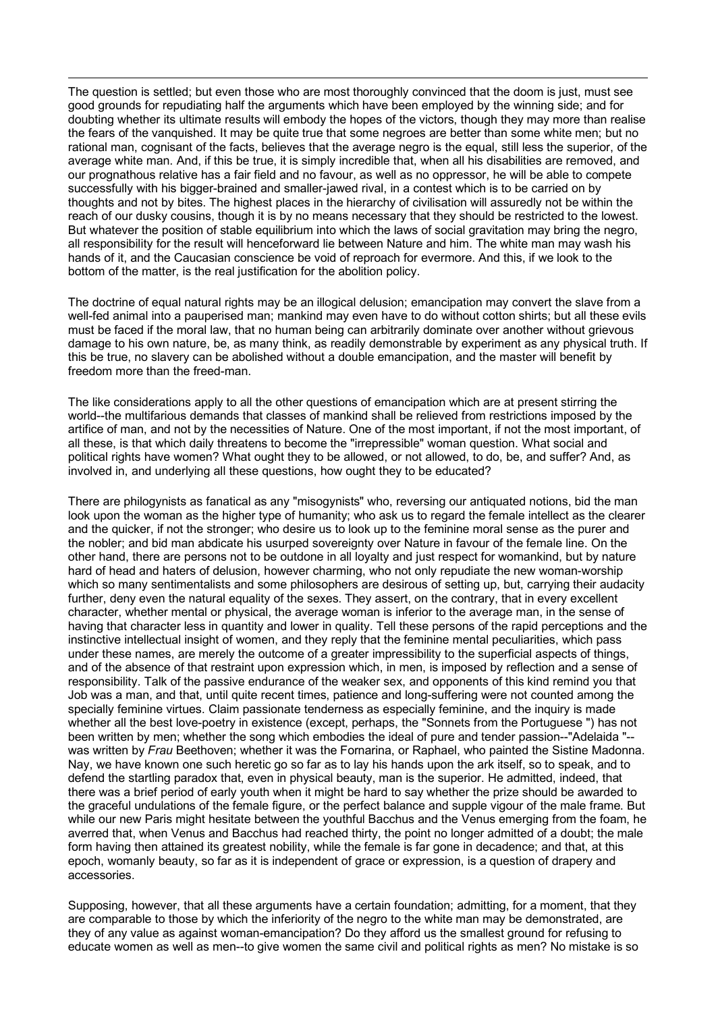The question is settled; but even those who are most thoroughly convinced that the doom is just, must see good grounds for repudiating half the arguments which have been employed by the winning side; and for doubting whether its ultimate results will embody the hopes of the victors, though they may more than realise the fears of the vanquished. It may be quite true that some negroes are better than some white men; but no rational man, cognisant of the facts, believes that the average negro is the equal, still less the superior, of the average white man. And, if this be true, it is simply incredible that, when all his disabilities are removed, and our prognathous relative has a fair field and no favour, as well as no oppressor, he will be able to compete successfully with his bigger-brained and smaller-jawed rival, in a contest which is to be carried on by thoughts and not by bites. The highest places in the hierarchy of civilisation will assuredly not be within the reach of our dusky cousins, though it is by no means necessary that they should be restricted to the lowest. But whatever the position of stable equilibrium into which the laws of social gravitation may bring the negro, all responsibility for the result will henceforward lie between Nature and him. The white man may wash his hands of it, and the Caucasian conscience be void of reproach for evermore. And this, if we look to the bottom of the matter, is the real justification for the abolition policy.

<span id="page-3-2"></span><span id="page-3-1"></span><span id="page-3-0"></span>The doctrine of equal natural rights may be an illogical delusion; emancipation may convert the slave from a well-fed animal into a pauperised man; mankind may even have to do without cotton shirts; but all these evils must be faced if the moral law, that no human being can arbitrarily dominate over another without grievous damage to his own nature, be, as many think, as readily demonstrable by experiment as any physical truth. If this be true, no slavery can be abolished without a double emancipation, and the master will benefit by freedom more than the freed-man.

<span id="page-3-6"></span><span id="page-3-5"></span><span id="page-3-4"></span><span id="page-3-3"></span>The like considerations apply to all the other questions of emancipation which are at present stirring the world--the multifarious demands that classes of mankind shall be relieved from restrictions imposed by the artifice of man, and not by the necessities of Nature. One of the most important, if not the most important, of all these, is that which daily threatens to become the "irrepressible" woman question. What social and political rights have women? What ought they to be allowed, or not allowed, to do, be, and suffer? And, as involved in, and underlying all these questions, how ought they to be educated?

There are philogynists as fanatical as any "misogynists" who, reversing our antiquated notions, bid the man look upon the woman as the higher type of humanity; who ask us to regard the female intellect as the clearer and the quicker, if not the stronger; who desire us to look up to the feminine moral sense as the purer and the nobler; and bid man abdicate his usurped sovereignty over Nature in favour of the female line. On the other hand, there are persons not to be outdone in all loyalty and just respect for womankind, but by nature hard of head and haters of delusion, however charming, who not only repudiate the new woman-worship which so many sentimentalists and some philosophers are desirous of setting up, but, carrying their audacity further, deny even the natural equality of the sexes. They assert, on the contrary, that in every excellent character, whether mental or physical, the average woman is inferior to the average man, in the sense of having that character less in quantity and lower in quality. Tell these persons of the rapid perceptions and the instinctive intellectual insight of women, and they reply that the feminine mental peculiarities, which pass under these names, are merely the outcome of a greater impressibility to the superficial aspects of things, and of the absence of that restraint upon expression which, in men, is imposed by reflection and a sense of responsibility. Talk of the passive endurance of the weaker sex, and opponents of this kind remind you that Job was a man, and that, until quite recent times, patience and long-suffering were not counted among the specially feminine virtues. Claim passionate tenderness as especially feminine, and the inquiry is made whether all the best love-poetry in existence (except, perhaps, the "Sonnets from the Portuguese ") has not been written by men; whether the song which embodies the ideal of pure and tender passion--"Adelaida "- was written by *Frau* Beethoven; whether it was the Fornarina, or Raphael, who painted the Sistine Madonna. Nay, we have known one such heretic go so far as to lay his hands upon the ark itself, so to speak, and to defend the startling paradox that, even in physical beauty, man is the superior. He admitted, indeed, that there was a brief period of early youth when it might be hard to say whether the prize should be awarded to the graceful undulations of the female figure, or the perfect balance and supple vigour of the male frame. But while our new Paris might hesitate between the youthful Bacchus and the Venus emerging from the foam, he averred that, when Venus and Bacchus had reached thirty, the point no longer admitted of a doubt; the male form having then attained its greatest nobility, while the female is far gone in decadence; and that, at this epoch, womanly beauty, so far as it is independent of grace or expression, is a question of drapery and accessories.

Supposing, however, that all these arguments have a certain foundation; admitting, for a moment, that they are comparable to those by which the inferiority of the negro to the white man may be demonstrated, are they of any value as against woman-emancipation? Do they afford us the smallest ground for refusing to educate women as well as men--to give women the same civil and political rights as men? No mistake is so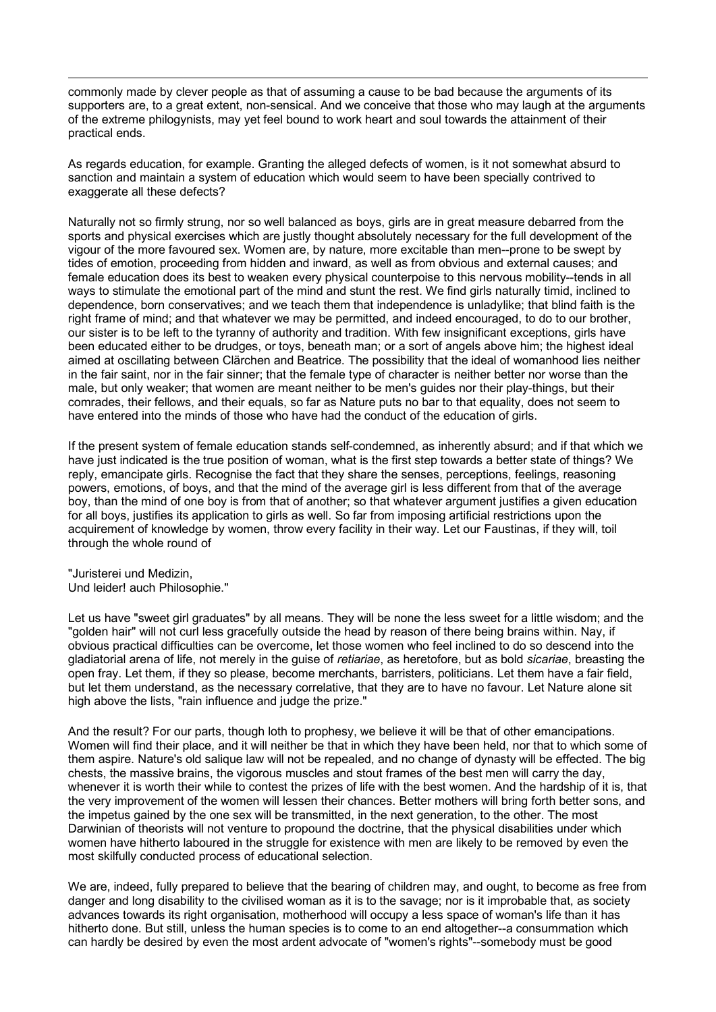commonly made by clever people as that of assuming a cause to be bad because the arguments of its supporters are, to a great extent, non-sensical. And we conceive that those who may laugh at the arguments of the extreme philogynists, may yet feel bound to work heart and soul towards the attainment of their practical ends.

As regards education, for example. Granting the alleged defects of women, is it not somewhat absurd to sanction and maintain a system of education which would seem to have been specially contrived to exaggerate all these defects?

Naturally not so firmly strung, nor so well balanced as boys, girls are in great measure debarred from the sports and physical exercises which are justly thought absolutely necessary for the full development of the vigour of the more favoured sex. Women are, by nature, more excitable than men--prone to be swept by tides of emotion, proceeding from hidden and inward, as well as from obvious and external causes; and female education does its best to weaken every physical counterpoise to this nervous mobility--tends in all ways to stimulate the emotional part of the mind and stunt the rest. We find girls naturally timid, inclined to dependence, born conservatives; and we teach them that independence is unladylike; that blind faith is the right frame of mind; and that whatever we may be permitted, and indeed encouraged, to do to our brother, our sister is to be left to the tyranny of authority and tradition. With few insignificant exceptions, girls have been educated either to be drudges, or toys, beneath man; or a sort of angels above him; the highest ideal aimed at oscillating between Clärchen and Beatrice. The possibility that the ideal of womanhood lies neither in the fair saint, nor in the fair sinner; that the female type of character is neither better nor worse than the male, but only weaker; that women are meant neither to be men's guides nor their play-things, but their comrades, their fellows, and their equals, so far as Nature puts no bar to that equality, does not seem to have entered into the minds of those who have had the conduct of the education of girls.

If the present system of female education stands self-condemned, as inherently absurd; and if that which we have just indicated is the true position of woman, what is the first step towards a better state of things? We reply, emancipate girls. Recognise the fact that they share the senses, perceptions, feelings, reasoning powers, emotions, of boys, and that the mind of the average girl is less different from that of the average boy, than the mind of one boy is from that of another; so that whatever argument justifies a given education for all boys, justifies its application to girls as well. So far from imposing artificial restrictions upon the acquirement of knowledge by women, throw every facility in their way. Let our Faustinas, if they will, toil through the whole round of

"Juristerei und Medizin, Und leider! auch Philosophie."

Let us have "sweet girl graduates" by all means. They will be none the less sweet for a little wisdom; and the "golden hair" will not curl less gracefully outside the head by reason of there being brains within. Nay, if obvious practical difficulties can be overcome, let those women who feel inclined to do so descend into the gladiatorial arena of life, not merely in the guise of *retiariae*, as heretofore, but as bold *sicariae*, breasting the open fray. Let them, if they so please, become merchants, barristers, politicians. Let them have a fair field, but let them understand, as the necessary correlative, that they are to have no favour. Let Nature alone sit high above the lists, "rain influence and judge the prize."

And the result? For our parts, though loth to prophesy, we believe it will be that of other emancipations. Women will find their place, and it will neither be that in which they have been held, nor that to which some of them aspire. Nature's old salique law will not be repealed, and no change of dynasty will be effected. The big chests, the massive brains, the vigorous muscles and stout frames of the best men will carry the day, whenever it is worth their while to contest the prizes of life with the best women. And the hardship of it is, that the very improvement of the women will lessen their chances. Better mothers will bring forth better sons, and the impetus gained by the one sex will be transmitted, in the next generation, to the other. The most Darwinian of theorists will not venture to propound the doctrine, that the physical disabilities under which women have hitherto laboured in the struggle for existence with men are likely to be removed by even the most skilfully conducted process of educational selection.

We are, indeed, fully prepared to believe that the bearing of children may, and ought, to become as free from danger and long disability to the civilised woman as it is to the savage; nor is it improbable that, as society advances towards its right organisation, motherhood will occupy a less space of woman's life than it has hitherto done. But still, unless the human species is to come to an end altogether--a consummation which can hardly be desired by even the most ardent advocate of "women's rights"--somebody must be good